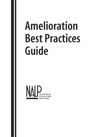# **Amelioration Best Practices Guide**

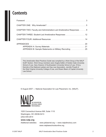# **Contents**

| CHAPTER TWO: Faculty and Administration-Led Ameliorative Responses 9 |
|----------------------------------------------------------------------|
| CHAPTER THREE: Student-Led Ameliorative Responses  12                |
|                                                                      |
| APPENDIX B: Sample Statements on Military Recruiting  25             |

This *Amelioration Best Practices Guide* was compiled by a Work Group of the NALP GLBT Section. Work Group members were Angela Dalfen of Golden Gate University School of Law, Gary Greener of Southwestern University School of Law, D'Arcy Kemnitz of the National Lesbian and Gay Law Association, Jennifer Powell of the West Virginia University College of Law, and Shawn Beem of Capital University Law School.

© August 2007 — National Association for Law Placement, Inc. (NALP).



1025 Connecticut Avenue NW, Suite 1110 Washington, DC 20036-5413 (202) 835-2614

#### **[www.nalp.org](http://www.nalp.org)**

Additional websites: [www.plslawnet.org](http://www.pslawnet.org) — [www.nalpdirectory.com](http://www.nalpdirectory.com) [www.nalplawschoolsonline.org](http://www.nalplawschoolsonline.org)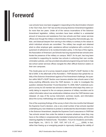# **Foreword**

Law schools have now been engaged in responding to the discrimination inherent in the "Don't Ask, Don't Tell" law and the ensuing Solomon Amendment legislation for more than ten years. Under all of the various incarnations of the Solomon Amendment legislation, military recruiters have been entitled to a substantial amount of resources and assistance from law schools and their career services offices even though the military's discriminatory hiring policy that exludes gay, lesbian, and bisexual lawyers from serving in the military is contrary to the values to which individual schools are committed. The military has sought and obtained what no other employer gets: assistance without compliance with a school's requirement of adherence to its nondiscrimination policy. In the face of this regime, the Association of American Law Schools has long required that law schools ameliorate the presence of the military on campus. NALP, for its part, has long been committed to supporting its member law schools in enforcing their own nondiscrimination policies, and has provided educational programming and tools to help law school career services offices navigate the often difficult Solomon waters on their own campuses.

This *Guide* grew out of a survey research project of NALP's GLBT Section in the fall of 2006. In the aftermath of the *Rumsfeld v. FAIR* decision that upheld the validity of the Solomon Amendment against a First Amendment challenge, the question within NALP's GLBT Section soon became whether law schools were in fact doing anything differently since the *FAIR* decision. In order to investigate this question, between November 15 and December 15, 2006, NALP undertook a project to survey its US member law schools to determine what steps they were currently taking to respond to the on-campus presence of military recruiters and to collect information about new ameliorative initiatives since the *FAIR* decision was released. (A copy of the survey instrument, summary results, and information about the survey methodology are available at Appendix A.)

One of the surprising findings of the survey is that in the nine months that followed the Supreme Court's decision, only a very small number of law schools reported undertaking any new initiatives to protest or ameliorate the discrimination inherent in the Solomon Amendment, despite the Supreme Court's assurance in *FAIR* that "law schools remain free under the statute to express whatever views they may have on the military's congressionally mandated employment policy, all the while retaining eligibility for federal funds." *Rumsfeld v. Forum for Academic and Institutional Rights, Inc.*, 126 S. Ct. 1297, 1307, 547 U.S. 47, \_\_\_\_\_ (2006). In fact, rather than freeing up or energizing people to vigorously challenge the validity of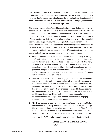the military's hiring practices, at some schools the Court's decision seems to have produced a sense of resignation that has actually served to diminish the commitment to acts of protest and amelioration. While most schools continue to post their nondiscrimination policies when military recruiters are on campus, some schools documented that even this is no longer a practice.

The survey provided a list of possible ameliorative actions that schools might undertake, and also asked schools to document other creative acts of protest or amelioration that were not suggested by the survey. This *Best Practices Guide*, put together by a work group of NALP volunteers, collects together in one place all of those practices so that law schools might readily consult a single list of possibilities when devising a strategy that is appropriate for a particular campus. Because each school is so different, the appropriate amelioration plan for each school will necessarily also be different. While NALP's survey work did not suggest an easy or obvious list of best practices for every school, I feel confident making *three* suggestions about what law schools can and should do going forward:

- **First**, law schools should, on an annual basis, convene a group of faculty, staff, and students to evaluate the relevancy and weight of the school's current ameliorative and protest practices and actively evaluate whether new, different, or additional strategies might be appropriate. Responsibility for this annual evaluation will best be met if law schools either designate a single person on campus to facilitate and coordinate Solomon amelioration, or staff a Solomon Amendment task force to address the presence of discriminatory military recruiting on campus.
- **Second**, law schools should actively engage students, faculty, and staff to devise strategies for individually and collectively working with members of Congress to repeal the military's ban on lesbian, gay, and bisexual military personnel. The NALP survey makes it clear that up until this moment, very few law schools have been actively engaged on Capitol Hill in advocating for change in this arena. If Congress does not hear from the legal academy on this issue, then we will have abdicated a historic responsibility. As an educational tool, this provides an ideal opportunity for engaging students in the process of tackling legislative change.
- **Third**, law schools across the country continue to recruit and accept tuition from students who, simply because of their sexual orientation, are not eligible to compete for jobs that recruiters come to campus to fill. Therefore, at least once a year, law school faculty and staff should ask their GLBT students what sort of support they would like in the face of this discrimination.

I hope you find this *Guide* helpful in meeting your school's amelioration obligations.

*— James G. Leipold, Executive Director NALP*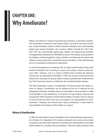# **CHAPTER ONE: Why Ameliorate?**

Military recruitment on campus has placed law schools in a precarious position. The Association of American Law Schools (AALS), as well as many law schools' own nondiscrimination policies, forbids potential employers from discriminating based upon sexual orientation. Our country's military, through the "Don't Ask, Don't Tell" law, discriminates against gay, lesbian, and bisexual law students. (Transgendered individuals are forbidden to serve in the military as proscribed in the military's medical regulations.) Gays, lesbians, and bisexuals can serve in the military as long as they don't reveal their sexual orientation, while heterosexuals have no comparable nondisclosure requirement.

In normal circumstances an employer with an openly discriminatory hiring policy would be forbidden from recruiting on campus and using a school's career services office. However, due to a series of federal laws including the Solomon Amendment, as interpreted in *Rumsfeld v. FAIR,* law schools cannot prevent the military from recruiting on-campus without risking a potential loss of federal funding. This forces law schools to violate their own nondiscrimination policies.

The AALS prescribes a policy of "amelioration" at schools where the military recruits on campus. Amelioration can be defined as the act of relieving ills and changing for the better; it literally means to make better or more tolerable, to make more bearable or more satisfactory, or to improve. For gay, lesbian, bisexual, and transgender (GLBT) students, the fact that the military recruiters come to campus to recruit for jobs for which they may not compete is an unacceptable act of discrimination. Therefore, law schools have a duty to ameliorate, or make better or more tolerable, the presence of the military on campus.

### **History of Amelioration**

In 1990, the AALS added "sexual orientation" to its nondiscrimination policy pursuant to Bylaw 6-4. Regulation 6-19 requires employers who recruit at law school campuses to provide written assurances that they don't discriminate on any basis listed in Bylaw 6-4, including "sexual orientation." Since the military refuses to hire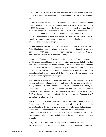openly GLBT candidates, allowing their recruiters on campus would violate AALS policy. The AALS thus mandated that its members forbid military recruiting on campus.

In 1995, Congress passed the first Solomon Amendment, which denied Department of Defense funds to any schools that barred military recruiters from campus. In 1996, Congress extended the Solomon Amendment's reach to include denial of funds from not only the Department of Defense but also the Departments of Education, Labor, and Health and Human Services. In 1997, the AALS amended its policy. They decided to excuse noncompliance with Bylaw 6-4 (allowing military recruiters access to campuses) as long as member schools ameliorated the presence of the military on campus.

In 1999, the federal government exempted student financial aid from the type of federal funds that could be withheld from law schools barring military access to campus. The AALS again required member law schools to comply with Bylaw 6-4 and prohibit the military from recruiting on campus.

In 2002, the Department of Defense confirmed that the Solomon Amendment would exempt student financial aid. However, they determined that all other federal funding to the university would be at risk. This meant that if a law school refused to allow the military on campus, its parent university could suffer dire consequences. With so much at stake, the AALS again reversed its policy and excused law school noncompliance with Bylaw 6-4 as long as the law school ameliorated the military's presence on campus.

The Forum for Academic and Institutional Rights (FAIR), an organization of 36 law schools and academic faculties, brought suit against the government, challenging the legality of the Solomon Amendment on First Amendment grounds. Initially, the district court ruled against FAIR. On appeal, the Third Circuit held that the Solomon Amendment was unconstitutional because it violated the First Amendment. FAIR was joined in this lawsuit by the Society of American Law Teachers (SALT) as well as individual plaintiffs.

The Third Circuit case was appealed to the United States Supreme Court. In March 2006, the Court rejected the arguments of FAIR and SALT and upheld the constitutionality of the Solomon Amendment. It should be noted that the Supreme Court upheld the constitutionality of the Solomon Amendment based on theories premised on the First Amendment. Some academics believe that the Solomon Amendment may be successfully challenged in the future on other theories and grounds.

In light of the Supreme Court's ruling and as the federal law currently stands, AALS member schools must allow the military to recruit on campus or risk the loss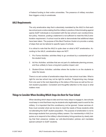of federal funding to their entire universities. The presence of military recruiters then triggers a duty to ameliorate.

### **AALS Requirements**

The only ameliorative step that is absolutely mandated by the AALS is that each law school post a notice stating that the military's practice of discriminating against openly GLBT individuals is inconsistent with the law school's own nondiscrimination policy. However, posting a statement is not sufficient to meet the AALS amelioration requirement. A school must be able to demonstrate that additional steps have been taken. The purpose of this *Best Practices Guide* is to provide a variety of steps that can be tailored to specific types of schools.

It is critical to note that the AALS is quite clear on what is NOT ameliorative. According to the AALS, ameliorative steps are NOT:

- 1. *Pro Forma Activities:* activities likely to go unnoticed by a substantial part of the student body;
- 2. *Ad Hoc Activities:* activities that are not part of a deliberate planning process, and thus unlikely to have a long-term positive impact; and
- 3. *Student-Driven Activities:* activities where the burden is on the students to raise the issues.

There is no set number of ameliorative steps that a law school must take. What is right for one law school may not be right for another. Programming may change from one year to the next depending on the status of the issue as well as the current student population. Consistent and thoughtful attention to this issue is what matters most.

### **Things to Consider When Deciding Which Steps Are Best for Your School**

When deciding which steps to take and how many steps to engage in, law schools must keep in mind that there may be students who legitimately want to work for the military. It is important that this constituency not be ignored. Career services offices must consider what can be done to meet the needs of those students while not alienating the GLBT student population. The purpose of amelioration is not to discourage students from pursuing military careers. Our membership in AALS requires us to respond to the military's discriminatory hiring practices by clearly stating that their presence violates our anti-discrimination policies and mandates special outreach to GLBT students.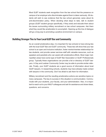Most GLBT students seek recognition from the law school that the presence on campus of an employer who discriminates against them is taken seriously. All students will wish to see evidence that the law school genuinely cares about its anti-discrimination policy. When deciding what steps to take, talk to student groups (GLBT student groups specifically, if they exist) and educate them about the issues surrounding military recruitment on law school campuses. Ask them what they would like amelioration to accomplish. Opening up this line of dialogue will go a long way to promoting a positive environment on campus.

### **Building Stronger Ties to Your Local GLBT Bar and Community**

As an overall ameliorative step, it is important for law schools to have strong ties with the local GLBT Bar and GLBT community. These ties will show that your law school is an open and inclusive institution, foster mentor/mentee relationships for law students, and provide career services staff with valuable resources, such as speakers and panelists who can assist with ameliorative efforts. Most major metropolitan areas have some type of GLBT Bar Association or GLBT Professionals group. Typically these organizations can provide a list or directory of GLBT lawyers. A Gay and Lesbian Community Center may be able to provide similar referrals. Finally, your GLBT students are a good source of information about local GLBT lawyers. In researching schools, students may have already made contact with lawyers in the community. Don't be afraid to ask them for information.

Military recruitment and the resulting ameliorative actions are sensitive topics on many campuses. The key to success in this situation is communication. Communicate with your students, your faculty, and your administration. Also, it is important to reach out to your NALP colleagues and ask for assistance and share ideas, questions, and concerns.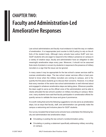# **CHAPTER TWO: Faculty and Administration-Led Ameliorative Responses**

Law school administrators and faculty must endeavor to lead the way on matters of amelioration. It is inappropriate (and counter to AALS policy) to rely on the efforts of the student body. Although many schools have active GLBT and non-GLBT students who are eager to respond to the military's presence on campus in a variety of creative ways, faculty and administration have an obligation to take meaningful ameliorative steps every year. Moreover, it should not be assumed that a lack of protest or concern by students in response to the presence of military recruiters is a sign that the issue can be ignored.

In many cases it may be appropriate for the law school's career services staff to oversee ameliorative steps. The law school career services office is best positioned to know when the military recruiters are coming to campus, and is frequently the first place students go to discuss their concerns. However, it is critical that every member of the senior law school administration is well informed about and engaged in whatever ameliorative steps are taking place. Wherever possible, the dean ought to serve as the official voice of the administration and be able to clearly articulate the law school's position on military recruiting on campus. Moreover, many students have said that faculty participation in amelioration efforts frequently serves to validate the issue and gives it prominence.

It is worth noting that some the following suggestions not only serve as ameliorative steps, but as ways that faculty, staff, and administration can generally make the campus a welcoming and inclusive place for GLBT students.

Our survey revealed that at least some schools have undertaken the following faculty and administration-led ameliorative steps:

- Circulating or posting the law school's nondiscrimination policy.
- Circulating or posting a statement specifically addressing military recruiting on campus.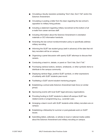- Circulating a faculty resolution protesting "Don't Ask, Don't Tell" and/or the Solomon Amendment.
- Circulating or posting a letter from the dean regarding the law school's opposition to military hiring policies.
- Including a statement regarding military recruitment at the bottom of all e-mails from career services staff.
- Including information about the Solomon Amendment in orientation materials or OCI information handouts.
- Amending the law school nondiscrimination policy to specifically address military recruiting.
- Informing the GLBT law student group (well in advance) of the date that military recruiters will be on campus.
- Organizing a panel discussion with openly GLBT attorneys to discuss their careers.
- Conducting a teach-in, debate, or panel on "Don't Ask, Don't Tell."
- Purchasing rainbow buttons, stickers, wristbands, or other symbolic items to distribute to the campus community.
- Displaying rainbow flags, positive GLBT symbols, or other expressions of solidarity with GLBT students year-round.
- Facilitating a GLBT alumni-student mentoring program.
- Establishing a school-wide Solomon Amendment task force (or similar group).
- Sponsoring events with local GLBT legal advocacy organizations.
- Providing funding to GLBT students to attend off-campus GLBT lawrelated events or programming (e.g., Lavender Law).
- Arranging a dean's lunch with GLBT students while military recruiters are on campus.
- Establishing a fellowship for summer or post-graduate work on GLBT issues.
- Submitting letters, editorials, or articles to local or national media outlets about the Solomon Amendment and military recruiting on campus.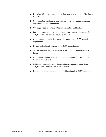- Educating OCI employers about the Solomon Amendment and "Don't Ask, Don't Tell."
- Speaking at an academic or professional conference about military recruiting or the Solomon Amendment.
- Offering a class or seminar in "sexual orientation and the law."
- Including discussion or examination of the Solomon Amendment or "Don't Ask, Don't Tell" policy in the course curriculum.
- Cosponsoring or moderating an event organized by a GLBT student organization.
- Serving as the faculty advisor to the GLBT student group.
- Serving as the faculty or staff liaison to the Solomon Amendment task force.
- Circulating a petition or similar document expressing opposition to the Solomon Amendment.
- Lobbying or otherwise contacting members of Congress about "Don't Ask, Don't Tell" or the Solomon Amendment.
- Promoting and supporting community-wide outreach to GLBT students.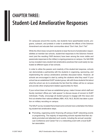# **CHAPTER THREE: Student-Led Ameliorative Responses**

On campuses around the country, law students have spearheaded events, programs, outreach, and protests in order to ameliorate the effects of the Solomon Amendment and educate their communities about "Don't Ask, Don't Tell."

While the AALS does not permit students to bear the brunt of amelioration responsibilities at member law schools, student-led responses to the Solomon Amendment (and the resulting *FAIR* decision) have been among the more visible and passionate responses to the military's ongoing presence on campus. Our fall 2006 survey revealed many student-led ameliorative practices that could easily be replicated at different types of law schools.

In order to utilize the passion and creativity of the student-led response, schools can demonstrate a partnership with the students in organizing, sponsoring, and implementing the various ameliorative activities discussed below. However, all schools are encouraged to start by *asking the students what they want*! If your school has an established GLBT student group, talk with those students first about what the school can do to ameliorate the fact that the military will be on campus and provide other employment-related opportunities for them.

If your school does not have an established group, make it known which staff and faculty members' offices are "safe spaces" to discuss issues of concern to GLBT individuals. Finally, encourage all student groups to engage with this issue and find out whether their national affiliate (ABA, ACS, NLG, BLSA) has taken a position on military recruiting on campus.

The NALP survey revealed that at least some schools have undertaken the following student-led ameliorative steps.

■ Promoting, organizing and/or financing off-campus GLBT networking events or programming. The majority of responding schools reported that their students promoted and attended such events, including the annual Lavender Law Conference and Career Fair or a networking event with a local GLBT bar association.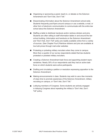- Organizing or sponsoring a panel, teach-in, or debate on the Solomon Amendment and "Don't Ask, Don't Tell."
- Disseminating information about the Solomon Amendment school-wide. Students frequently post flyers around campus or use a website, e-mail, or other form of electronic communication to communicate with the entire law school about the Solomon Amendment.
- Staffing a table to distribute handouts and/or rainbow stickers and pins. Students are often willing to staff information tables in and around the law school building. Information and handouts on the Solomon Amendment and "Don't Ask, Don't Tell" policy are readily available online from a variety of sources. (See Chapter Four!) Rainbow stickers and pins are available at low bulk prices through mail-order websites
- Protesting or picketing military recruiters when they come to campus. More than a quarter of our survey respondents stated that law students protested or picketed military recruiters.
- Creating a Solomon Amendment task force and appointing student representatives. Nearly 30% of our respondents said they had an active task force on which students were active participants.
- Drafting and circulating a petition or resolution expressing opposition to the Solomon Amendment.
- Making announcements in class. Students may wish to use a few moments of class time to promote awareness of the Solomon Amendment, military recruiting on campus, or "Don't Ask, Don't Tell."
- Lobbying members of Congress. Some students are actively engaged in lobbying Congress about repealing the military's "Don't Ask, Don't Tell" policy.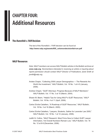# **CHAPTER FOUR: Additional Resources**

## **The** *Rumsfeld v. FAIR* **Decision**

The text of the *Rumsfeld v. FAIR* decision can be found at **[http://www.nalp.org/assets/855\\_solomondecisionfairrum.pdf](http://www.nalp.org/assets/855_solomondecisionfairrum.pdf)**

### **NALP Resources**

*Note: NALP members can access NALP Bulletin articles in the Bulletin archives at [www.nalp.org](http://www.nalp.org). Nonmembers interested in receiving an article or inquiring about reprint permission should contact NALP Director of Publications Janet Smith at jsmith@nalp.org.*

- Andew Chapin, "Collecting 2006 Lawyer Demographics The Rewards Are Worth the Investment," *NALP Bulletin*, Vol. 18 No. 1 at 4-5 (January, 2006).
- Andrew Chapin, "GLBT Attorneys: Progress Because of NALP Members!," *NALP Bulletin*, Vol. 17 No. 3 at 15 (March, 2004).
- Shawn M. Beem, "Helpful Tips for Using NALP's GLBT Resources," *NALP Bulletin*, Vol. 18 No. 4 at 11 (April, 2006).
- Carlos Dávila-Caballero, "A Roadmap of GLBT Resources," *NALP Bulletin*, Vol. 18 No. 3 at 16 (March, 2005).
- Carlos Dávila-Caballero, "Lawyers, Students, Gather for Lavender Law 2005," *NALP Bulletin*, Vol. 18 No. 1 at 14 (January, 2006).
- Judith N. Collins, "NALP Research: Most Firms Now to Collect GLBT Lawyer Information, Yet Overall Numbers Remain Low," *NALP Bulletin*, Vol. 18 No. 12 at 8-9 (December, 2006).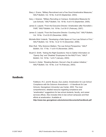- Stacy J. Evans, "Military Recruitment and a Few Good Ameliorative Measures," *NALP Bulletin*, Vol. 16 No. 9 at 8-9 (September, 2003).
- Gary J. Greener, "Military Recruiting on Campus: Ameliorative Measures for Law Schools," *NALP Bulletin*, Vol. 18 No. 9 at 9-10 (September, 2005).
- James G. Leipold, "From the Executive Director: Amelioration after *Rumsfeld v. FAIR*," *NALP Bulletin*, Vol. 19 No. 2 at 30-31 (February, 2007).
- James G. Leipold, "From the Executive Director: Counting Out!," *NALP Bulletin*, Vol. 18 No. 12 at 22-23 (December, 2006).
- Michelle Mohr Vodenik, "Developing a Safe Space at Your Law School or Firm," *NALP Bulletin*, Vol. 18 No. 12 at 14-15 (December, 2006).
- Ellen Rutt, "Why Solomon Matters: The Law School Perspective," *NALP Bulletin*, Vol. 17 No. 11 at 9-10 (November, 2004).
- Stuart D. Smith, "Asking the Right Questions: How to Gather Information on 'Openly Gay' and 'Disabled' Employees for the NALP Form," *NALP Bulletin*, Vol. 16 No. 1 at 6-7 (January, 2003).
- Connie A. Zubler, "Breaking Barriers: Denver's Gay & Lesbian Initiative," *NALP Bulletin*, Vol. 16 No. 2 at 7-9 (February, 2003).

### **Handbooks**

Feldblum, R.C. and M. Boucai, *Due Justice: Amelioration for Law School Compliance with the Solomon Amendment — A Handbook for Law Schools*, Georgetown University Law Center, 2003. The most comprehensive, detailed resource regarding compliance and "amelioration" suggestions for law school students, faculty, and career services offices. Also includes links to law school campuses and their efforts at amelioration. Available at:

**<http://www.law.georgetown.edu/solomon/documents/handbook.pdf>**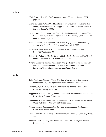### **Articles**

- "Talk Column: This Way Out," *American Lawyer Magazine*, January 2001, page 17.
- Bernstein, Bobbi, "When Good Intentions Aren't Enough: Observations of an Openly Gay Law Student Firm Applicant," 6 *Tulane University Journal of Law and Sexuality* (1996).
- James, David C., "Jobs Column: Tips for Navigating the Job Hunt When Your Race, Ethnicity, or Sexual Orientation Is in the Minority," *Student Lawyer*, February 1999, page 13.
- Mazur, Diane H., "A Blueprint for Law School Engagement with the Military," *Journal of National Security Law and Policy*, Vol. 1, 2005.
- McDonald-Druhm, Heather E., "Coming Out Ahead," *Student Lawyer*, November 1996, page 36.
- Quinan, Jr., Robert L., "To Be Out or Not to Be Out?," *Careers and the Minority Lawyer*, Crimson Brown & Associates, page 34.
- Minority Corporate Counsel Association, "Perspectives from the Invisible Bar: Gays and Lesbians in the Profession," **http://www.mcca.com/ [index.cfm?fuseaction=page.viewpage&pageID=612](http://www.mcca.com/index.cfm?fuseaction=page.viewpage&pageID=612)**.

#### **Books**

- Cain, Patricia A., *Rainbow Rights: The Role of Lawyers and Courts in the Lesbian and Gay Civil Rights Movement*, Westview Press, 2001.
- Eskridge, Jr., William N., *Gaylaw: Challenging the Apartheid of the Closet*, Harvard University Press, 2002.
- Koppelman, Andrew, *The Gay Rights Question in Contemporary American Law*, University of Chicago Press, 2002.
- Koppelman, Andrew, *Same Sex, Different States: When Same-Sex Marriages Cross State Lines*, Yale University Press, 2006.
- Murdoch, Joyce, *Courting Justice: Gay Men and Lesbians v. the Supreme Court*, Basic Books, 2002.
- Pinello, Daniel R., *Gay Rights and American Law*, Cambridge University Press, 2003.
- Yoshino, Kenji, *Covering: The Hidden Assault on Our Civil Rights*, Random House, 2006.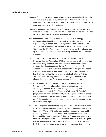### **Online Resources**

- *Solomon Response* (**[www.solomonresponse.org](http://www.solomonresponse.org)**). A comprehensive website with links to a detailed history of the Solomon Amendment, forms of amelioration, and resources and ideas for students and faculty members to raise awareness and fight discrimination.
- *Society of American Law Teachers* (SALT) (**[www.saltlaw.org/solomon](http://www.saltlaw.org/solomon)**). An excellent resource on the Solomon Amendment and related topics created by the Society of American Law Teachers (SALT).
- *Servicemembers' Legal Defense Network* (SLDN) (**[www.sldn.org](http://www.sldn.org)**). Servicemembers Legal Defense Network (SLDN) is a national, nonprofit legal services, watchdog, and policy organization dedicated to ending discrimination against and harassment of military personnel affected by "Don't Ask, Don't Tell" and related forms of intolerance. This site provides up-to-the-minute information for LGBT military members as well as legal resources.
- *Minority Corporate Counsel Association* (**[www.mcca.com](http://www.mcca.com)**). The Minority Corporate Counsel Association (MCCA) was founded to advocate for the expanded hiring, retention, and promotion of minority attorneys in corporate law departments and the law firms that serve them. The "Research" section of MCCA's site (accessed by clicking on the Research link) features excellent resources including one entitled, "Perspectives from the Invisible Bar: Gays and Lesbians in the Profession." Under "Interest Areas," the page accessed by clicking the "Research" link also offers a list of resources for or about gay and lesbian attorneys.
- *Human Resources Campaign* (**[www.hrc.org](http://www.hrc.org)**). The Human Rights Campaign is America's largest civil rights organization working to achieve gay, lesbian, bisexual, and transgender equality. HRC's website features a list of "Best Places to Work for GLBT Equality" (**<http://www.hrc.org/placestowork/>**), and the topical breakdown of best places to work includes law firms. In addition, the "Your Community" link on HRC's website leads to information on state organizations, as well as on state laws and legislation.
- *Pride Law Fund* (**[www.pridelawfund.org](http://www.pridelawfund.org)**). Pride Law Fund strives to support work that promotes the legal rights of the LGBT community, and people living with HIV and AIDS, by funding legal services and projects and by sponsoring education and outreach. The Roberta Achtenberg, Steven Block, and Mary Morgan Summer Fellowship Programs are open to law students working under the supervision of an attorney at a 501(c)(3) tax exempt nonprofit organization anywhere in the country. The Tom Steel Post-Graduate Fellowship funds a new lawyer each year to work in the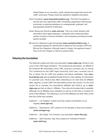United States on an innovative, public interest law project that serves the LGBT community. Please check the website for deadline information.

- *Point Foundation* (**[www.thepointfoundation.org](http://www.thepointfoundation.org)**). The Point Foundation is the first and only nationwide LGBT scholarship organization that focuses exclusively on granting assistance to undergraduate, graduate, and post-graduate students of distinction.
- *Queer Resources Directory* (**[www.qrd.org](http://www.qrd.org)**). This is an online directory with information about legal employers, companies with nondiscrimination policies inclusive of sexual orientation, and companies providing domestic partner benefits.
- *Bill and Ann Shepherd Legal Scholarship* (**[www.equityfoundation.org](http://www.equityfoundation.org)**). A scholarship between \$1,000-\$3,000 is offered by the founders of PFLAG, Bill and Ann Shepherd. Although based in Oregon, the applicant doesn't have to be from Oregon or intend to practice there.

## **Voluntary Bar Associations**

The *National Lesbian and Gay Law Association* (**[www.nlgla.org](http://www.nlgla.org)**). NLGLA is the voice of the LGBT legal profession. This professional association, an affiliate of the American Bar Association since 1992, sponsors Lavender Law, an annual CLE conference for the LGBT legal community. Each year, Lavender Law offers a Career Fair for LGBT law students and lateral candidates. (See **[www.](http://www.lavenderlaw.org) [lavenderlaw.org](http://www.lavenderlaw.org)**, also accessible through NLGLA's main website, for information on Lavender Law.) NLGLA also offers networking to its more than 20 affiliated state, regional, or local LGBT bar associations across the country. For the most current list of voluntary bar associations affiliated with NLGLA, go to **[www.](http://www.nlgla.org) [nlgla.org](http://www.nlgla.org)** and click on *About > Affiliates.* This online list includes links to websites (although not all affiliates have websites) as well as e-mail links to contacts for some of the affiliates. The following is a list of the affiliates and their URLs at the time this *Guide* was compiled.

- California Los Angeles: *Lesbian and Gay Lawyers Association of Los Angeles* (**[www.lgla.net](http://www.lgla.net)**).
- California Sacramento: *SAC Lawyers for the Equality of Gays and Lesbians* (**[www.saclegal.org](http://www.saclegal.org)**).
- California San Diego: *Tom Homann Law Association* (**[www.thla.org](http://www.thla.org)**).
- California San Francisco: *Bay Area Lawyers for Individual Freedom* (**[www.balif.org](http://www.balif.org)**).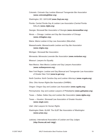- Colorado: *Colorado Gay Lesbian Bisexual Transgender Bar Association* (**[www.coloradoglbtbar.org](http://www.coloradoglbtbar.org)**).
- Washington, DC: *GAYLAW* (**[www.GayLaw.org](http://www.gaylaw.org)**).
- Florida: *Central Florida Gay & Lesbian Law Association* (Central Florida GALLA) (**[www.cfglla.org](http://www.cfglla.org)**).
- Georgia: *Stonewall Bar Association of Georgia* (**[www.stonewallbar.org](http://www.stonewallbar.org)**).
- Illinois Chicago: *Lesbian and Gay Bar Association of Chicago* (**[www.chilagbac.org](http://www.chilagbac.org)**).
- Maine: *Maine Lesbian & Gay Law Association* (MeLeGal).
- Massachusetts: *Massachusetts Lesbian and Gay Bar Association* (**[www.mlgba.org](http://www.mlgba.org)**).
- Michigan: *Stonewall Bar Association*.
- Minnesota: *Minnesota Lavender Bar Association* (**[www.mnlavbar.org](http://www.mnlavbar.org)**).
- Missouri: *Lawyers for Equality*.
- New Mexico: *New Mexico Lesbian and Gay Lawyers Association* (**[www.outlawyersnm.org](http://www.outlawyersnm.org)**).
- New York Region: *Lesbian and Gay Bisexual and Transgender Law Association of Greater New York* (**[www.le-gal.org](http://www.le-gal.org)**).
- North Carolina: *North Carolina Gay and Lesbian Attorneys* (**[www.ncgala.org](http://www.ncgala.org)**).
- Ohio: *Ohio Human Rights Bar Association* (OHRBA).
- Oregon: *Oregon Gay and Lesbian Law Association* (**[www.ogalla.org](http://www.ogalla.org)**).
- Pennsylvania: *Gay and Lesbian Lawyers of Philadelphia* (**[www.galloplaw.org](http://www.galloplaw.org)**).
- Texas Dallas: *Dallas Gay and Lesbian Bar Association* (**[www.dglba.org](http://www.dglba.org)**).
- Texas Houston: *Stonewall Law Association of Greater Houston* (**[www.slagh.com](http://www.slagh.com)**).
- Utah: *Utah Lawyers for Human Rights*.
- Washington State: *QLAW: The GLBT Bar Association of Washington* (**[www.q-law.org](http://www.q-law.org)**).
- Judiciary: *International Association of Lesbian and Gay Judges* (**<http://home.att.net/~ialgj/>**).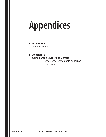# **Appendices**

- **Appendix A:** Survey Materials
- **Appendix B:** Sample Dean's Letter and Sample Law School Statements on Military **Recruiting**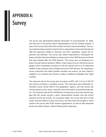# **APPENDIX A: Survey**

The survey was administered between November 15 and December 15, 2006, and was sent to the primary NALP representative at all US member schools. A copy of the survey instrument that includes summary responses follows. The survey made two basic inquiries of each school, asking them to document faculty and staff led responses related to Solomon and then, separately, student led responses and activities. The survey also asked respondents to distinguish between activities that were initiated on campus prior to the *FAIR* decision and those that were initiated after the *FAIR* decision. The survey was not designed as a piece of social science research. Rather, it was meant to be an informal survey to gauge current amelioration practices at US law schools and to try to determine whether those practices have changed since the *FAIR* decision. By designing a survey instrument that listed possible activities and actions, we also hoped to suggest to our member law schools a range of additional strategies they might consider.

The response rate for the survey was very good, at 58%, with 112 out of 192 US law schools providing a completed survey. The responses were distributed remarkably evenly across NALP's five geographic regions, and also across law schools based on size; urban, suburban, and rural location; and public/private status. The response rate and the distribution of responses across law schools suggest that the results provide a good, representative window onto law school practices across the country. As a practical matter, the survey was sent to chief career services officers at each law school, and they were encouraged to share copies of the survey with GLBT student organizations, as well as with interested faculty and staff members, before finalizing their responses.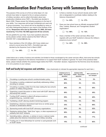# Amelioration Best Practices Survey with Summary Results

The purpose of this survey is to find out what steps U.S. law schools have taken to respond to the on-campus presence of military recruiters, and to collect information about new ameliorative initiatives since *FAIR v. Rumsfeld* was decided in March 2006. Please answer the following questions to the best of your ability. Your responses will be kept confidential and used only in group summaries. Your school will not be identified by name or any other distinguishing feature in any report of the findings of this survey. **Responses were due by December 15, 2006, and were received by 112 of the 192 ABA-approved US law schools.**

We are grateful for your help. If you have questions about the survey please contact James Leipold at the NALP office at 202-835-1001 or jleipold@nalp.org.

1. Have members of the US military JAG Corps visited your school to recruit since the *FAIR v. Rumsfeld* case was decided by the Supreme Court in March 2006?

> - Yes **98%** -No **2%**

| Is there a member of your school's faculty and/or staff |
|---------------------------------------------------------|
| who is designated to coordinate matters relating to the |
| Solomon Amendment?                                      |

| 3. Does your law school have an officially recognized GLBT |
|------------------------------------------------------------|
| (Gay, Lesbian, Bisexual, and Transgender) student          |
| organization?                                              |

No **37%**

|  |  | $\Box$ Yes 88% |  |  | $\Box$ No 12% |
|--|--|----------------|--|--|---------------|
|--|--|----------------|--|--|---------------|

- Yes **63%** -

4. Does a member of the career services office meet regularly with your GLBT students to discuss the military's presence at your school?

| $\Box$ No 56%<br>$\Box$ Yes 44% |  |  |
|---------------------------------|--|--|
|---------------------------------|--|--|

Listed below are a variety of actions and activities (not limited to those coordinated by the career services office), that some law schools have instituted in response to the Solomon Amendment or to support their GLBT students in general. For each of the practices listed below, please indicate whether the practice began before the *FAIR v. Rumsfeld* decision, happened for the first time since the decision, or is not a practice on your campus.

#### Staff and faculty led responses and activities: (Use checkmarks to indicate the appropriate response for each item.)

|    |                                                                                                                                           | Initiated prior to<br><b>FAIR v. Rumsfeld</b><br>decision | <b>Initiated after</b><br><b>FAIR v. Rumsfeld</b><br>decision | Not a practice on<br>our campus |
|----|-------------------------------------------------------------------------------------------------------------------------------------------|-----------------------------------------------------------|---------------------------------------------------------------|---------------------------------|
| 5. | Circulating or posting law school's nondiscrimination policy                                                                              | 96%                                                       | 1%                                                            | 3%                              |
| 6. | Circulating or posting a statement specifically addressing military<br>recruiting on campus                                               | 82%                                                       | 4%                                                            | 14%                             |
| 7. | Circulating or posting a letter from the dean stating the law school's<br>position on military hiring policies                            | 48%                                                       | 2%                                                            | 50%                             |
| 8. | Organizing a panel discussion or other event with GLBT attorneys<br>discussing their careers                                              | 56%                                                       | 8%                                                            | 36%                             |
| 9. | Funding GLBT students to attend off-campus events or<br>programming (e.g., Lavender Law)                                                  | 55%                                                       | 5%                                                            | 40%                             |
|    | 10. Facilitating a GLBT attorney-student mentoring program                                                                                | 15%                                                       | 6%                                                            | 79%                             |
|    | 11. Establishing a Solomon Amendment task force (or similar group<br>focused on ameliorative efforts)                                     | 33%                                                       | 1%                                                            | 66%                             |
|    | 12. Sponsoring events with local GLBT advocacy organizations                                                                              | 42%                                                       | 5%                                                            | 52%                             |
|    | 13. Displaying rainbow flags, "Safe Zone" signs, or other expressions of<br>solidarity with GLBT students                                 | 50%                                                       | 2%                                                            | 48%                             |
|    | 14. Submitting letters, editorials, or articles to local or national media<br>outlets about the Solomon Amendment and military recruiting | 20%                                                       | 3%                                                            | 77%                             |
|    | 15. Funding one or more fellowships for summer or post-graduate work<br>on GLBT issues                                                    | 15%                                                       | 3%                                                            | 82%                             |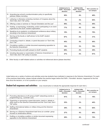|                                                                                                                        | Initiated prior to<br><b>FAIR v. Rumsfeld</b><br>decision | Initiated after<br><b>FAIR v. Rumsfeld</b><br>decision | Not a practice on<br>our campus |
|------------------------------------------------------------------------------------------------------------------------|-----------------------------------------------------------|--------------------------------------------------------|---------------------------------|
| 16. Amending law school's nondiscrimination policy to specifically<br>address military recruiting                      | 50%                                                       | 4%                                                     | 46%                             |
| 17. Lobbying or otherwise contacting members of Congress about the<br>"Don't Ask, Don't Tell" policy                   | 5%                                                        | 3%                                                     | 92%                             |
| 18. Offering a class or seminar on "Sexual Orientation and the Law"                                                    | 56%                                                       | 4%                                                     | 40%                             |
| 19. Hosting, co-sponsoring, moderating, and/or participating in an event<br>organized by the GLBT student organization | 77%                                                       | 4%                                                     | 19%                             |
| 20. Speaking at an academic or professional conference about military<br>recruiting or the Solomon Amendment           | 19%                                                       | 2%                                                     | 79%                             |
| 21. Serving as the faculty or staff advisor to the GLBT student<br>organization                                        | 67%                                                       | 2%                                                     | 31%                             |
| 22. Conducting a teach-in, debate, or panel discussion on "Don't Ask,<br>Don't Tell"                                   | 45%                                                       | 5%                                                     | 50%                             |
| 23. Circulating a petition or similar document expressing opposition to<br>the Solomon Amendment                       | 19%                                                       | 3%                                                     | 78%                             |
| 24. Promoting faculty and staff outreach to GLBT students                                                              | 68%                                                       | 2%                                                     | 30%                             |
| 25. Including discussion or examination of Solomon Amendment or<br>"Don't Ask, Don't Tell" policy in courses           | 37%                                                       | 2%                                                     | 61%                             |

26. Other faculty or staff initiated actions or activities not referenced above (please describe):

Listed below are a variety of actions and activities some law students have instituted in response to the Solomon Amendment. For each of the practices listed below, please indicate whether the practice began before the *FAIR v. Rumsfeld* decision, happened for the first time since the decision, or is not a practice on your campus.

#### Student led responses and activities: (Use checkmarks to indicate the appropriate response for each item.)

|                                                                                                                                                        | Initiated prior to<br><b>FAIR v. Rumsfeld</b><br>decision | Initiated after<br><b>FAIR v. Rumsfeld</b><br>decision | Not a practice on<br>our campus |
|--------------------------------------------------------------------------------------------------------------------------------------------------------|-----------------------------------------------------------|--------------------------------------------------------|---------------------------------|
| 27. Promoting attendance at off-campus GLBT networking events or<br>programming (e.g., Lavender Law)                                                   | 81%                                                       | 3%                                                     | 16%                             |
| 28. Organizing or sponsoring a panel discussion, teach-in, debate or<br>other event on the Solomon Amendment and the "Don't Ask, Don't<br>Tell" policy | 53%                                                       | 3%                                                     | 44%                             |
| 29. Staffing informational tables on military hiring and the Solomon<br>Amendment                                                                      | 30%                                                       | 8%                                                     | 62%                             |
| 30. Serving on a Solomon Amendment task force (or a similar group<br>focused on ameliorative efforts)                                                  | 27%                                                       | 4%                                                     | 69%                             |
| 31. Drafting or circulating a petition or similar document expressing<br>opposition to the Solomon Amendment                                           | 26%                                                       | 4%                                                     | 70%                             |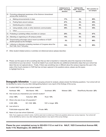|                                                                                                    | Initiated prior to<br><b>FAIR v. Rumsfeld</b><br>decision | Initiated after<br><b>FAIR v. Rumsfeld</b><br>decision | Not a practice on<br>our campus |
|----------------------------------------------------------------------------------------------------|-----------------------------------------------------------|--------------------------------------------------------|---------------------------------|
| 32. Promoting widespread awareness of the Solomon Amendment<br>among other students by:            |                                                           |                                                        |                                 |
| Making announcements in class<br>a.                                                                | 17%                                                       | 3%                                                     | 80%                             |
| Posting flyers around campus<br>b.                                                                 | 47%                                                       | 4%                                                     | 49%                             |
| Distributing pins or stickers<br>C.                                                                | 32%                                                       | 6%                                                     | 63%                             |
| Using website, email, or other electronic communication<br>d.                                      | 39%                                                       | 6%                                                     | 55%                             |
| Other:<br>$e_{1}$                                                                                  |                                                           |                                                        |                                 |
| 33. Protesting or picketing military recruiters on campus                                          | 25%                                                       | 8%                                                     | 67%                             |
| 34. Attending or organizing an off-campus protest                                                  | 15%                                                       | 0%                                                     | 85%                             |
| 35. Disseminating information about recent surveillance of GLBT<br>student groups by the Pentagon  | 5%                                                        | 7%                                                     | 88%                             |
| 36. Lobbying or otherwise contacting members of Congress about the<br>Don't Ask, Don't Tell policy | 14%                                                       | 6%                                                     | 80%                             |

37. Other student initiated actions or activities not referenced above (please describe):

39. In which NALP region is your school located?

38. Please use this space to tell us anything else that you feel is important or noteworthy about the response to the Solomon Amendment at your law school. It would be helpful if you would describe any additional ameliorative steps that your school has taken that are not captured above. Finally, if there was something new or different about the campus response this year in the wake of the Court's decision in *FAIR* that has not been captured in the questions above, please use this space to highlight that for us.

**Demographic Information:** To assist in grouping schools for analysis, please answer the following questions. Your school will not be identified by name or by any other distinguishing feature in any report of the findings of this survey.

|                                                                                                                                                 | Northeast 18%                                          | Mid-Atlantic 14% |             | Southeast 25%      | Midwest 23% | West/Rocky Mountain 22% |  |
|-------------------------------------------------------------------------------------------------------------------------------------------------|--------------------------------------------------------|------------------|-------------|--------------------|-------------|-------------------------|--|
|                                                                                                                                                 | 40. How would you characterize your school's location? |                  |             |                    |             |                         |  |
|                                                                                                                                                 | Urban 65%                                              | Suburban 22%     |             | Rural 13%          |             |                         |  |
|                                                                                                                                                 | 41. What is the size of your JD population?            |                  |             |                    |             |                         |  |
|                                                                                                                                                 | $0-500$ 23%                                            | 501-1000 54%     |             | 1001 or larger 23% |             |                         |  |
|                                                                                                                                                 | 42. Law school is:                                     |                  |             |                    |             |                         |  |
|                                                                                                                                                 | Public/state-supported 36%                             |                  | Private 64% |                    |             |                         |  |
|                                                                                                                                                 | 43. Name of your law school (Optional):                |                  |             |                    |             |                         |  |
| Note: If you supply your school's name, it will be used only to contact you if there are questions about your survey response. Your school will |                                                        |                  |             |                    |             |                         |  |

*Note: If you supply your school's name, it will be used only to contact you if there are questions about your survey response. Your school will not be identified by name or any other distinguishing feature in any report of the survey findings.*

**Please fax your completed survey to 202-835-1112 or mail it to: NALP, 1025 Connecticut Avenue NW, Suite 1110, Washington, DC 20036-5413.**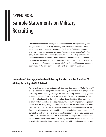# **APPENDIX B: Sample Statements on Military Recruiting**

*This Appendix presents a sample dean's message on military recruiting and sample statements on military recruiting from several law schools. These statements were provided by schools at the time this Guide was compiled and may or may not represent the current statements of these schools. The sample statements are included to assist law schools as they formulate or update their own statements. These samples are not meant to substitute for the necessity of seeking the most current information on the Solomon Amendment and of seeking advice from law school administrators and from legal counsel as appropriate in the development of statements on military recruitment.*

# **Sample Dean's Message, Golden Gate University School of Law, San Francisco, CA Military Recruiting at GGU This Week**

As many of you know, last spring the US Supreme Court ruled in *FAIR v. Rumsfeld* that law schools are obliged to allow the military to recruit on their campuses or risk losing federal funding. Although the military's policy barring openly gay and lesbian individuals from serving in the armed forces is a violation of GGU's anti-discrimination policy, the University has determined that it has no choice but to allow military recruiters to participate in our fall recruitment program. Representatives from the Army, Navy, Air Force, and Marines will be on campus this Thursday, October 5, to interview students for employment opportunities with the JAG Corps. No other employer who would choose to discriminate against members of our student body would be allowed to use the resources of the Law Career Services Office. That we are compelled to allow them on campus by the threat of having our federal funds withdrawn should be of great concern to every member of our law school community. I encourage those of you with questions or feedback on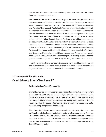this decision to contact Susanne Aronowitz, Associate Dean for Law Career Services, or speak to me directly.

The School of Law has taken affirmative steps to ameliorate the presence of the military recruiters and their refusal to hire LGBT students. For example, in the past several years GGU has been a sponsor of the annual BALIF Dinner and the Pride Law Fund Golf Tournament. The School of Law has offered funding to students attending the Lavender Law Career Fair and Conference. A rainbow flag hangs outside the interview rooms when the military is on campus and flyers containing the Law Career Services Office's Statement on Military Recruiting are posted online and around the building. Students have staffed information tables to educate people about "Don't Ask, Don't Tell" and the military's discriminatory hiring practices. Last year GGU's Federalist Society and the American Constitution Society co-hosted a debate on the constitutionality of the Solomon Amendment featuring Professor Peter Keane and Boalt Hall Professor John Yoo. Angela Dalfen, Assistant Director for Public Interest and Student Leadership Programs, has recently been asked to Chair a NALP Work Group charged with creating a "best practices" guide to ameliorating the effects of military recruiting on law school campuses.

I regret that we must open our doors to employers who would refuse to hire any one of our students on the basis of sexual orientation alone and look forward to the day when the armed forces are open to all those who wish to serve.

# **Statement on Military Recruiting Cornell University School of Law, Ithaca, NY**

#### **Notice to the Law School Community**

Cornell Law School is committed to a policy against discrimination in employment based on race, color, religion, national origin, ancestry, sex, sexual orientation, marital status, age, or handicap. The facilities of the Career Office may be denied to employers whose behavior contravenes our faculty policy prohibiting discrimination based on the above-listed factors. Visiting employers must sign a statement indicating compliance with this policy.

The military discriminates on the basis of sexual orientation, which is not permitted by Cornell Law School's nondiscrimination policy and the Association of American Law Schools bylaws. The Law School permits the military to interview on campus because of the loss of financial aid funds that would otherwise be imposed under the Solomon Amendment, and because the Law School is required to do so by Cornell University policy.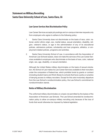# **Statement on Military Recruiting Santa Clara University School of Law, Santa Clara, CA**

#### **Law Career Services Non Discrimination Policy**

Law Career Services accepts job postings and on-campus interview requests only from employers who agree to adhere to the following policy:

- 1. Santa Clara University does not discriminate on the basis of race, color, national, and/or ethnic origin, sex, marital status, sexual orientation, disability, religion, veteran's status, or age in the administration of any of its educational policies, admissions policies, scholarship and loan programs, athletics, or employment-related policies, programs and activities.
- 2. Santa Clara University School of Law, in accordance with the Association of American Law Schools bylaws, does not make the services of its Law Career Services available to employers who discriminate on the basis of race, color, national origin, sex, age, disability, or sexual orientation.

Although the United States military discriminates on the basis of sexual orientation, the School of Law makes its Law Career Services available to their recruiters under the compulsion of federal law, which prohibits funds by grants or contract (including student loans and Work-Study) to schools that have a policy or practice of denying access to military recruiters. Except for this sole involuntary departure from the Law School's nondiscrimination policy, the Law School's commitment to nondiscrimination stands.

#### **Notice of Military Discrimination**

The uniformed military discriminates on a basis not permitted by the bylaws of the Association of American Law Schools. The Law School amended its nondiscrimination policy to allow on-campus military recruiting only because of the loss of funds that would otherwise be imposed by federal legislation.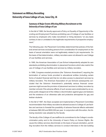# **Statement on Military Recruiting University of Iowa College of Law, Iowa City, IA**

### **Summary of Major Events Affecting Military Recruitment at the University of Iowa College of Law**

In the fall of 1988, the faculty approved a Policy on Equality of Opportunity in Recruiting and Employment Practices prohibiting use of College of Law facilities or services by employers who make recruitment or hiring decisions "on any basis contrary to law or unrelated to the legitimate requirements of prospective employment."

The following year, the Placement Committee determined that policies of the federal armed services excluding persons from consideration for employment on the basis of sexual orientation were not legitimately related to job requirements. On the basis of that determination, military recruiters were not allowed to use College of Law facilities and services.

In 1990, the American Association of Law School independently adopted its own standards prohibiting discrimination in placement functions which also restrict the use of College of Law facilities and services by military recruiters.

In 1996, Congress enacted provisions (the "Solomon Amendment") requiring the termination of various funds provided to educational entities (including certain forms of student financial aid) that do not allow access to placement services by military recruiters. The American Association of Law Schools subsequently concluded that the Solomon Amendment's potentially serious financial consequences might excuse the provision of placement services to military recruiters by member schools if the adverse effects of such access were ameliorated by an express public disapproval of the military's discrimination against gays and lesbians and the existence of an otherwise safe and protective atmosphere for gay and lesbian students.

In the fall of 1997, the Dean accepted and implemented a Placement Committee recommendation that military recruiters be allowed access to College of Law facilities and services to forestall the possibility of adverse financial effects estimated at between \$60,000 and \$500,000 per year. In conjunction with this action, the following resolution was adopted by the faculty:

*The faculty of the College of Law reaffirms its commitment to the College's nondiscrimination policy and to the University of Iowa's Policy on Human Rights. Because the military services discriminate on the basis of sexual orientation, permitting recruiters from the military services to conduct interviews in the law building*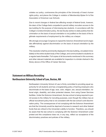*violates our policy, contravenes the principles of the University of Iowa's human rights policy, and places the College in violation of Membership Bylaw 6-4 of the Association of American Law Schools.*

*Due to recent changes in federal law affecting receipt of federal funds, however, the dean of the College feels compelled to permit military recruiters access to the law building for the purpose of interviewing law students. In accordance with the College's nondiscrimination policy, the law faculty wishes to state publicly that discrimination on the basis of sexual orientation is not justified on the basis of the legitimate requirements of employment by the military as a lawyer.*

*We strongly encourage Congress to repeal the Solomon Amendment and to legislate affirmatively against discrimination on the basis of sexual orientation by the military.*

This resolution shall be prominently displayed in the law building, circulated immediately to the entire student body of the College, and communicated to students on a regular basis thereafter. Full copies of all documents mentioned in this summary and other relevant materials are available for inspection in a binder shelved in the library alcove of the Office of Career Services.

# **Statement on Military Recruiting Northeastern University School of Law, Boston, MA**

Northeastern University School of Law is firmly committed to providing equal opportunity for all students and has a longstanding policy of barring employers who discriminate on the basis of age, race, color, religion, sex, sexual orientation, national origin, disability, and other protected classes, from using Career Services facilities. Under the Solomon Amendment, the law school is being required to permit access to the military for recruiting purposes, even though the military has an official recruitment policy that is not consistent with the law school's anti-discrimination policy. The consequences of not complying with the Solomon Amendment are that the University would be deprived of access to research and other federal funds that are critical to the University's ability to function. Therefore, you should be aware that the law school is complying with the Solomon Amendment under protest and this compliance does not, in any way, reflect our acceptance of the discriminatory practices and policies of the military.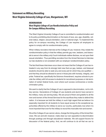# **Statement on Military Recruiting West Virginia University College of Law, Morgantown, WV**

## **MEMORANDUM West Virginia College of Law Nondiscrimination Policy and On-Campus Military Recruiting**

The West Virginia University College of Law is committed to nondiscrimination and to its policy prohibiting discrimination on the basis of race, sex, age, disability, veteran status, religion, sexual orientation, color or national origin. To implement this policy for on-campus recruiting, the College of Law requires all employers to agree to comply with its nondiscrimination policy.

When military recruiters interview at the College of Law, however, they violate the nondiscrimination policy in that the military permits gay men, lesbians, and bisexuals to serve in the military only if such individuals neither disclose, nor act upon their sexual orientation. Thus permitting recruiters from the Armed Services to interview our law students is not consistent with our employer nondiscrimination policy.

The fact that these interviews occur does not mean that the College of Law has retreated in any way from its strongly held view that our gay, lesbian, and bisexual students should be able to seek any and every job for which they are qualified and that they should be allowed to serve in those jobs with honesty, integrity, and pride. Federal law, specifically the Solomon Amendment, requires schools to provide the military with full access to students for recruitment purposes or risk termination of certain federal funds, even where such access contravenes a nondiscrimination policy.

We want to clarify that the College of Law is opposed to discrimination, not to military service. Generations of College of Law students and alumni have served in the military; many are serving today. We are proud of them and grateful to all the men and women of the Armed Services for the sacrifices they make to defend this nation. It is because we hold the military in such high regard that we believe it is especially important for all students to have equal access to the exceptional opportunities offered by the military to serve our country, particularly now when it is more important than ever for the military to recruit the most able men and women.

We at the College of Law cannot, alone, change the hiring policy of the Armed Services. We can and will, however, make clear our own opposition to discrimination through postings and through educational materials. We will support forums for discussion of the federal policy. And, we will continue to do all that we can to